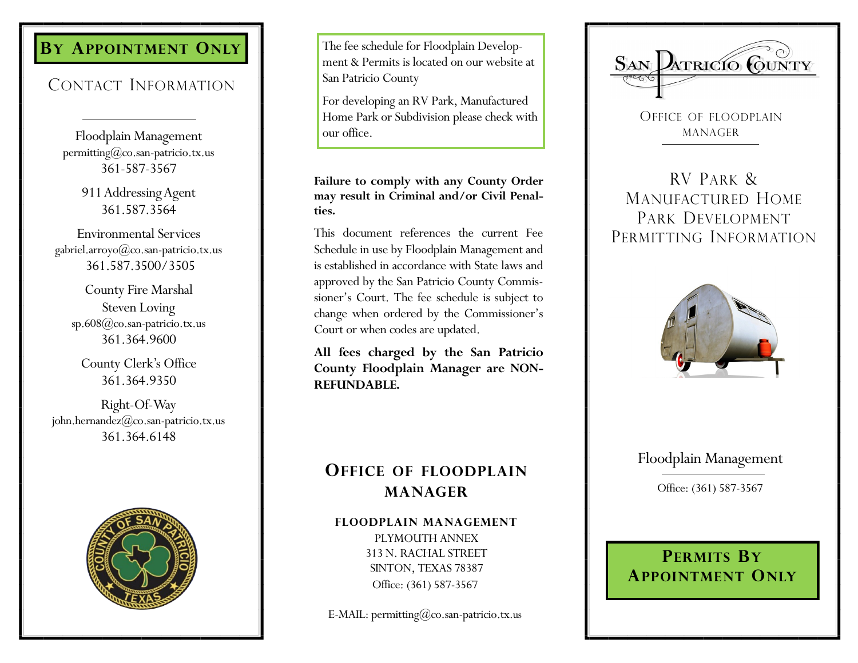# **BY APPOINTMENT ONLY**

## CONTACT INFORMATION

Floodplain Management permitting@co.san-patricio.tx.us 361-587-3567

> 911 Addressing Agent 361.587.3564

Environmental Services gabriel.arroyo@co.san-patricio.tx.us 361.587.3500/3505

County Fire Marshal Steven Loving sp.608@co.san-patricio.tx.us 361.364.9600

County Clerk's Office 361.364.9350

Right-Of-Way john.hernandez@co.san-patricio.tx.us 361.364.6148



The fee schedule for Floodplain Development & Permits is located on our website at San Patricio County

For developing an RV Park, Manufactured Home Park or Subdivision please check with our office.

#### **Failure to comply with any County Order may result in Criminal and/or Civil Penalties.**

This document references the current Fee Schedule in use by Floodplain Management and is established in accordance with State laws and approved by the San Patricio County Commissioner's Court. The fee schedule is subject to change when ordered by the Commissioner's Court or when codes are updated.

**All fees charged by the San Patricio County Floodplain Manager are NON-REFUNDABLE.** 

# SAN ATRICIO CUNTY

OFFICE OF FLOODPLAIN MANAGER

RV PARK & MANUFACTURED HOME PARK DEVELOPMENT PERMITTING INFORMATION



### Floodplain Management

Office: (361) 587-3567

## **OFFICE OF FLOODPLAIN MANAGER**

#### **FLOODPLAIN MANAGEMENT**

PLYMOUTH ANNEX 313 N. RACHAL STREET SINTON, TEXAS 78387 Office: (361) 587-3567

E-MAIL: permitting@co.san-patricio.tx.us

## **PERMITS BY APPOINTMENT ONLY**